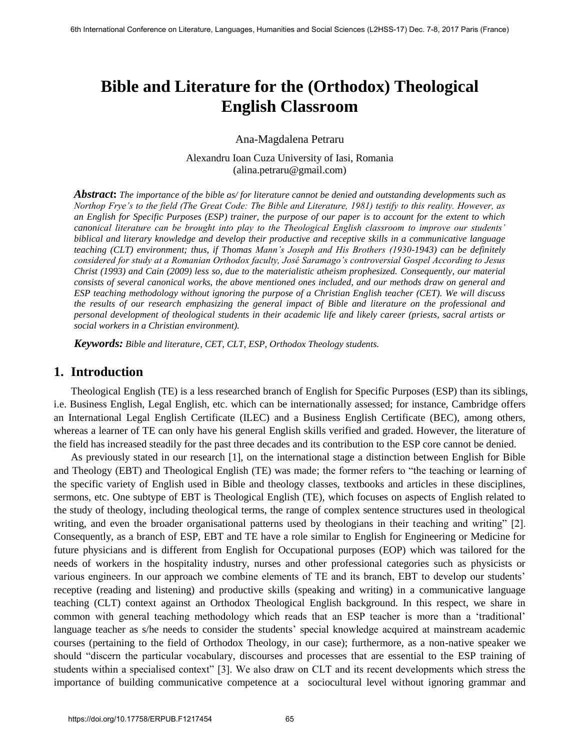# **Bible and Literature for the (Orthodox) Theological English Classroom**

#### Ana-Magdalena Petraru

Alexandru Ioan Cuza University of Iasi, Romania (alina.petraru@gmail.com)

*Abstract***:** *The importance of the bible as/ for literature cannot be denied and outstanding developments such as Northop Frye's to the field (The Great Code: The Bible and Literature, 1981) testify to this reality. However, as an English for Specific Purposes (ESP) trainer, the purpose of our paper is to account for the extent to which canonical literature can be brought into play to the Theological English classroom to improve our students' biblical and literary knowledge and develop their productive and receptive skills in a communicative language teaching (CLT) environment; thus, if Thomas Mann's Joseph and His Brothers (1930-1943) can be definitely considered for study at a Romanian Orthodox faculty, José Saramago's controversial Gospel According to Jesus Christ (1993) and Cain (2009) less so, due to the materialistic atheism prophesized. Consequently, our material consists of several canonical works, the above mentioned ones included, and our methods draw on general and ESP teaching methodology without ignoring the purpose of a Christian English teacher (CET). We will discuss the results of our research emphasizing the general impact of Bible and literature on the professional and personal development of theological students in their academic life and likely career (priests, sacral artists or social workers in a Christian environment).* 

*Keywords: Bible and literature, CET, CLT, ESP, Orthodox Theology students.*

#### **1. Introduction**

Theological English (TE) is a less researched branch of English for Specific Purposes (ESP) than its siblings, i.e. Business English, Legal English, etc. which can be internationally assessed; for instance, Cambridge offers an International Legal English Certificate (ILEC) and a Business English Certificate (BEC), among others, whereas a learner of TE can only have his general English skills verified and graded. However, the literature of the field has increased steadily for the past three decades and its contribution to the ESP core cannot be denied.

As previously stated in our research [1], on the international stage a distinction between English for Bible and Theology (EBT) and Theological English (TE) was made; the former refers to "the teaching or learning of the specific variety of English used in Bible and theology classes, textbooks and articles in these disciplines, sermons, etc. One subtype of EBT is Theological English (TE), which focuses on aspects of English related to the study of theology, including theological terms, the range of complex sentence structures used in theological writing, and even the broader organisational patterns used by theologians in their teaching and writing" [2]. Consequently, as a branch of ESP, EBT and TE have a role similar to English for Engineering or Medicine for future physicians and is different from English for Occupational purposes (EOP) which was tailored for the needs of workers in the hospitality industry, nurses and other professional categories such as physicists or various engineers. In our approach we combine elements of TE and its branch, EBT to develop our students" receptive (reading and listening) and productive skills (speaking and writing) in a communicative language teaching (CLT) context against an Orthodox Theological English background. In this respect, we share in common with general teaching methodology which reads that an ESP teacher is more than a "traditional" language teacher as s/he needs to consider the students' special knowledge acquired at mainstream academic courses (pertaining to the field of Orthodox Theology, in our case); furthermore, as a non-native speaker we should "discern the particular vocabulary, discourses and processes that are essential to the ESP training of students within a specialised context" [3]. We also draw on CLT and its recent developments which stress the importance of building communicative competence at a sociocultural level without ignoring grammar and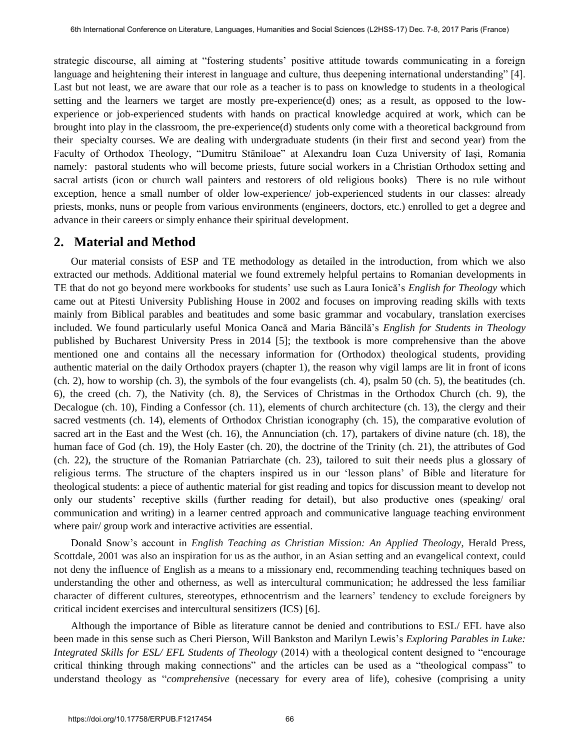strategic discourse, all aiming at "fostering students" positive attitude towards communicating in a foreign language and heightening their interest in language and culture, thus deepening international understanding" [4]. Last but not least, we are aware that our role as a teacher is to pass on knowledge to students in a theological setting and the learners we target are mostly pre-experience(d) ones; as a result, as opposed to the lowexperience or job-experienced students with hands on practical knowledge acquired at work, which can be brought into play in the classroom, the pre-experience(d) students only come with a theoretical background from their specialty courses. We are dealing with undergraduate students (in their first and second year) from the Faculty of Orthodox Theology, "Dumitru Stăniloae" at Alexandru Ioan Cuza University of Iași, Romania namely: pastoral students who will become priests, future social workers in a Christian Orthodox setting and sacral artists (icon or church wall painters and restorers of old religious books) There is no rule without exception, hence a small number of older low-experience/ job-experienced students in our classes: already priests, monks, nuns or people from various environments (engineers, doctors, etc.) enrolled to get a degree and advance in their careers or simply enhance their spiritual development.

### **2. Material and Method**

Our material consists of ESP and TE methodology as detailed in the introduction, from which we also extracted our methods. Additional material we found extremely helpful pertains to Romanian developments in TE that do not go beyond mere workbooks for students" use such as Laura Ionică"s *English for Theology* which came out at Pitesti University Publishing House in 2002 and focuses on improving reading skills with texts mainly from Biblical parables and beatitudes and some basic grammar and vocabulary, translation exercises included. We found particularly useful Monica Oancă and Maria Băncilă"s *English for Students in Theology*  published by Bucharest University Press in 2014 [5]; the textbook is more comprehensive than the above mentioned one and contains all the necessary information for (Orthodox) theological students, providing authentic material on the daily Orthodox prayers (chapter 1), the reason why vigil lamps are lit in front of icons (ch. 2), how to worship (ch. 3), the symbols of the four evangelists (ch. 4), psalm 50 (ch. 5), the beatitudes (ch. 6), the creed (ch. 7), the Nativity (ch. 8), the Services of Christmas in the Orthodox Church (ch. 9), the Decalogue (ch. 10), Finding a Confessor (ch. 11), elements of church architecture (ch. 13), the clergy and their sacred vestments (ch. 14), elements of Orthodox Christian iconography (ch. 15), the comparative evolution of sacred art in the East and the West (ch. 16), the Annunciation (ch. 17), partakers of divine nature (ch. 18), the human face of God (ch. 19), the Holy Easter (ch. 20), the doctrine of the Trinity (ch. 21), the attributes of God (ch. 22), the structure of the Romanian Patriarchate (ch. 23), tailored to suit their needs plus a glossary of religious terms. The structure of the chapters inspired us in our "lesson plans" of Bible and literature for theological students: a piece of authentic material for gist reading and topics for discussion meant to develop not only our students" receptive skills (further reading for detail), but also productive ones (speaking/ oral communication and writing) in a learner centred approach and communicative language teaching environment where pair/ group work and interactive activities are essential.

Donald Snow"s account in *English Teaching as Christian Mission: An Applied Theology*, Herald Press, Scottdale, 2001 was also an inspiration for us as the author, in an Asian setting and an evangelical context, could not deny the influence of English as a means to a missionary end, recommending teaching techniques based on understanding the other and otherness, as well as intercultural communication; he addressed the less familiar character of different cultures, stereotypes, ethnocentrism and the learners" tendency to exclude foreigners by critical incident exercises and intercultural sensitizers (ICS) [6].

Although the importance of Bible as literature cannot be denied and contributions to ESL/ EFL have also been made in this sense such as Cheri Pierson, Will Bankston and Marilyn Lewis's *Exploring Parables in Luke*: *Integrated Skills for ESL/ EFL Students of Theology* (2014) with a theological content designed to "encourage critical thinking through making connections" and the articles can be used as a "theological compass" to understand theology as "*comprehensive* (necessary for every area of life), cohesive (comprising a unity